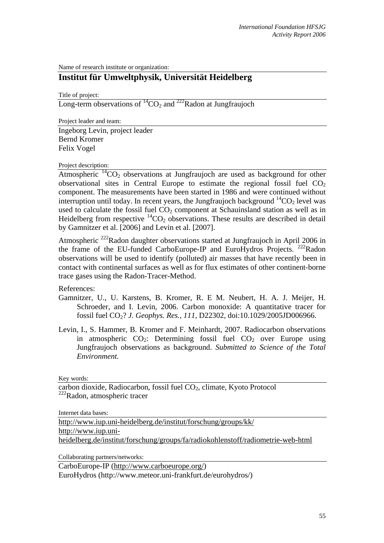Name of research institute or organization:

## **Institut für Umweltphysik, Universität Heidelberg**

Title of project:

Long-term observations of  ${}^{14}CO_2$  and  ${}^{222}$ Radon at Jungfraujoch

Project leader and team:

Ingeborg Levin, project leader Bernd Kromer Felix Vogel

Project description:

Atmospheric  ${}^{14}CO_2$  observations at Jungfraujoch are used as background for other observational sites in Central Europe to estimate the regional fossil fuel  $CO<sub>2</sub>$ component. The measurements have been started in 1986 and were continued without interruption until today. In recent years, the Jungfraujoch background  ${}^{14}CO_2$  level was used to calculate the fossil fuel  $CO<sub>2</sub>$  component at Schauinsland station as well as in Heidelberg from respective  ${}^{14}CO_2$  observations. These results are described in detail by Gamnitzer et al. [2006] and Levin et al. [2007].

Atmospheric <sup>222</sup>Radon daughter observations started at Jungfraujoch in April 2006 in the frame of the EU-funded CarboEurope-IP and EuroHydros Projects.  $222$ Radon observations will be used to identify (polluted) air masses that have recently been in contact with continental surfaces as well as for flux estimates of other continent-borne trace gases using the Radon-Tracer-Method.

References:

- Gamnitzer, U., U. Karstens, B. Kromer, R. E M. Neubert, H. A. J. Meijer, H. Schroeder, and I. Levin, 2006. Carbon monoxide: A quantitative tracer for fossil fuel CO2? *J. Geophys. Res., 111,* D22302, doi:10.1029/2005JD006966.
- Levin, I., S. Hammer, B. Kromer and F. Meinhardt, 2007. Radiocarbon observations in atmospheric  $CO_2$ : Determining fossil fuel  $CO_2$  over Europe using Jungfraujoch observations as background. *Submitted to Science of the Total Environment.*

Key words:

carbon dioxide, Radiocarbon, fossil fuel CO<sub>2</sub>, climate, Kyoto Protocol <sup>222</sup>Radon, atmospheric tracer

Internet data bases:

http://www.iup.uni-heidelberg.de/institut/forschung/groups/kk/ http://www.iup.uniheidelberg.de/institut/forschung/groups/fa/radiokohlenstoff/radiometrie-web-html

Collaborating partners/networks:

CarboEurope-IP (http://www.carboeurope.org/)

EuroHydros (http://www.meteor.uni-frankfurt.de/eurohydros/)